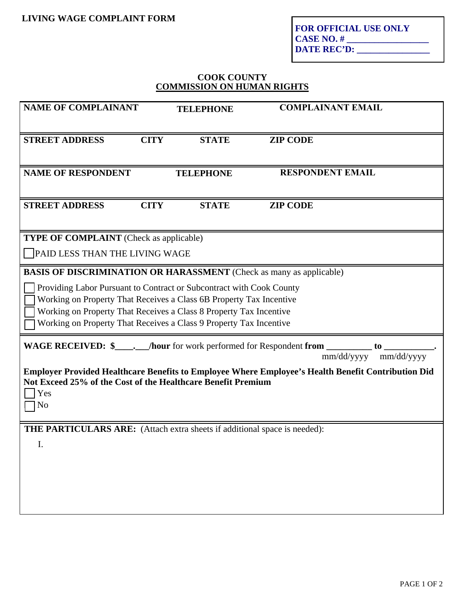**FOR OFFICIAL USE ONLY CASE NO. # \_\_\_\_\_\_\_\_\_\_\_\_\_\_\_\_\_\_ DATE REC'D: \_\_\_\_\_\_\_\_\_\_\_\_\_\_\_\_**

## **COOK COUNTY COMMISSION ON HUMAN RIGHTS**

| <b>NAME OF COMPLAINANT</b>                                                                                                                                                                                                                                                                                                                                            |             | <b>TELEPHONE</b> | <b>COMPLAINANT EMAIL</b> |  |
|-----------------------------------------------------------------------------------------------------------------------------------------------------------------------------------------------------------------------------------------------------------------------------------------------------------------------------------------------------------------------|-------------|------------------|--------------------------|--|
| <b>STREET ADDRESS</b>                                                                                                                                                                                                                                                                                                                                                 | <b>CITY</b> | <b>STATE</b>     | <b>ZIP CODE</b>          |  |
| <b>NAME OF RESPONDENT</b>                                                                                                                                                                                                                                                                                                                                             |             | <b>TELEPHONE</b> | <b>RESPONDENT EMAIL</b>  |  |
| <b>STREET ADDRESS</b>                                                                                                                                                                                                                                                                                                                                                 | <b>CITY</b> | <b>STATE</b>     | <b>ZIP CODE</b>          |  |
| <b>TYPE OF COMPLAINT</b> (Check as applicable)<br>PAID LESS THAN THE LIVING WAGE                                                                                                                                                                                                                                                                                      |             |                  |                          |  |
| <b>BASIS OF DISCRIMINATION OR HARASSMENT</b> (Check as many as applicable)<br>Providing Labor Pursuant to Contract or Subcontract with Cook County<br>Working on Property That Receives a Class 6B Property Tax Incentive<br>Working on Property That Receives a Class 8 Property Tax Incentive<br>Working on Property That Receives a Class 9 Property Tax Incentive |             |                  |                          |  |
| WAGE RECEIVED: \$________/hour for work performed for Respondent from ___________ to ___________<br>mm/dd/yyyy mm/dd/yyyy<br>Employer Provided Healthcare Benefits to Employee Where Employee's Health Benefit Contribution Did<br>Not Exceed 25% of the Cost of the Healthcare Benefit Premium<br>Yes<br>No                                                          |             |                  |                          |  |
| <b>THE PARTICULARS ARE:</b> (Attach extra sheets if additional space is needed):<br>I.                                                                                                                                                                                                                                                                                |             |                  |                          |  |